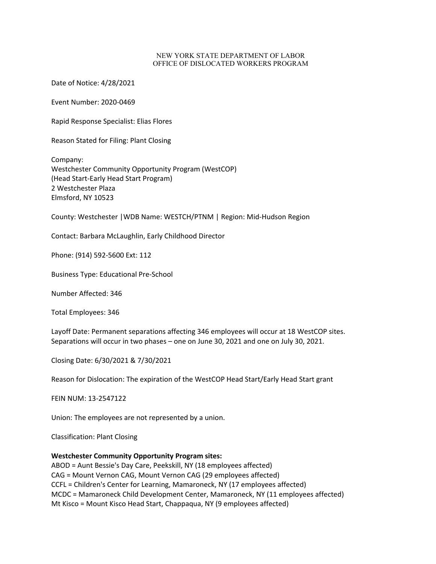## NEW YORK STATE DEPARTMENT OF LABOR OFFICE OF DISLOCATED WORKERS PROGRAM

Date of Notice: 4/28/2021

Event Number: 2020-0469

Rapid Response Specialist: Elias Flores

Reason Stated for Filing: Plant Closing

Company: Westchester Community Opportunity Program (WestCOP) (Head Start-Early Head Start Program) 2 Westchester Plaza Elmsford, NY 10523

County: Westchester |WDB Name: WESTCH/PTNM | Region: Mid-Hudson Region

Contact: Barbara McLaughlin, Early Childhood Director

Phone: (914) 592-5600 Ext: 112

Business Type: Educational Pre-School

Number Affected: 346

Total Employees: 346

Layoff Date: Permanent separations affecting 346 employees will occur at 18 WestCOP sites. Separations will occur in two phases – one on June 30, 2021 and one on July 30, 2021.

Closing Date: 6/30/2021 & 7/30/2021

Reason for Dislocation: The expiration of the WestCOP Head Start/Early Head Start grant

FEIN NUM: 13-2547122

Union: The employees are not represented by a union.

Classification: Plant Closing

**Westchester Community Opportunity Program sites:** 

ABOD = Aunt Bessie's Day Care, Peekskill, NY (18 employees affected) CAG = Mount Vernon CAG, Mount Vernon CAG (29 employees affected) CCFL = Children's Center for Learning, Mamaroneck, NY (17 employees affected) MCDC = Mamaroneck Child Development Center, Mamaroneck, NY (11 employees affected) Mt Kisco = Mount Kisco Head Start, Chappaqua, NY (9 employees affected)